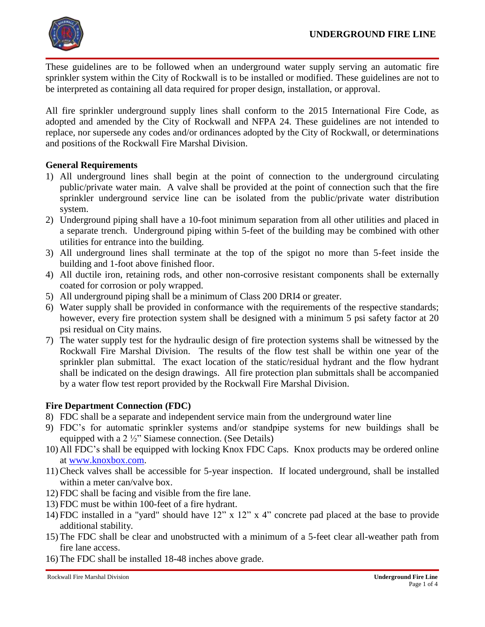

These guidelines are to be followed when an underground water supply serving an automatic fire sprinkler system within the City of Rockwall is to be installed or modified. These guidelines are not to be interpreted as containing all data required for proper design, installation, or approval.

All fire sprinkler underground supply lines shall conform to the 2015 International Fire Code, as adopted and amended by the City of Rockwall and NFPA 24. These guidelines are not intended to replace, nor supersede any codes and/or ordinances adopted by the City of Rockwall, or determinations and positions of the Rockwall Fire Marshal Division.

#### **General Requirements**

- 1) All underground lines shall begin at the point of connection to the underground circulating public/private water main. A valve shall be provided at the point of connection such that the fire sprinkler underground service line can be isolated from the public/private water distribution system.
- 2) Underground piping shall have a 10-foot minimum separation from all other utilities and placed in a separate trench. Underground piping within 5-feet of the building may be combined with other utilities for entrance into the building.
- 3) All underground lines shall terminate at the top of the spigot no more than 5-feet inside the building and 1-foot above finished floor.
- 4) All ductile iron, retaining rods, and other non-corrosive resistant components shall be externally coated for corrosion or poly wrapped.
- 5) All underground piping shall be a minimum of Class 200 DRI4 or greater.
- 6) Water supply shall be provided in conformance with the requirements of the respective standards; however, every fire protection system shall be designed with a minimum 5 psi safety factor at 20 psi residual on City mains.
- 7) The water supply test for the hydraulic design of fire protection systems shall be witnessed by the Rockwall Fire Marshal Division. The results of the flow test shall be within one year of the sprinkler plan submittal. The exact location of the static/residual hydrant and the flow hydrant shall be indicated on the design drawings. All fire protection plan submittals shall be accompanied by a water flow test report provided by the Rockwall Fire Marshal Division.

### **Fire Department Connection (FDC)**

- 8) FDC shall be a separate and independent service main from the underground water line
- 9) FDC's for automatic sprinkler systems and/or standpipe systems for new buildings shall be equipped with a 2 ½" Siamese connection. (See Details)
- 10) All FDC's shall be equipped with locking Knox FDC Caps. Knox products may be ordered online at [www.knoxbox.com.](http://www.knoxbox.com/)
- 11) Check valves shall be accessible for 5-year inspection. If located underground, shall be installed within a meter can/valve box.
- 12) FDC shall be facing and visible from the fire lane.
- 13) FDC must be within 100-feet of a fire hydrant.
- 14) FDC installed in a "yard" should have 12" x 12" x 4" concrete pad placed at the base to provide additional stability.
- 15) The FDC shall be clear and unobstructed with a minimum of a 5-feet clear all-weather path from fire lane access.
- 16) The FDC shall be installed 18-48 inches above grade.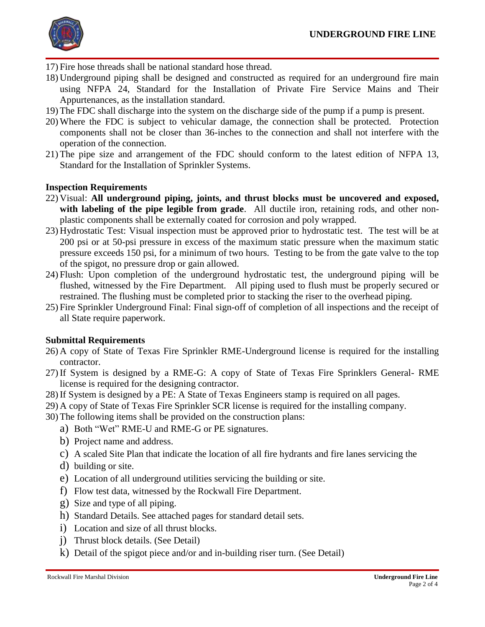

- 17) Fire hose threads shall be national standard hose thread.
- 18) Underground piping shall be designed and constructed as required for an underground fire main using NFPA 24, Standard for the Installation of Private Fire Service Mains and Their Appurtenances, as the installation standard.
- 19) The FDC shall discharge into the system on the discharge side of the pump if a pump is present.
- 20) Where the FDC is subject to vehicular damage, the connection shall be protected. Protection components shall not be closer than 36-inches to the connection and shall not interfere with the operation of the connection.
- 21) The pipe size and arrangement of the FDC should conform to the latest edition of NFPA 13, Standard for the Installation of Sprinkler Systems.

# **Inspection Requirements**

- 22) Visual: **All underground piping, joints, and thrust blocks must be uncovered and exposed, with labeling of the pipe legible from grade**. All ductile iron, retaining rods, and other nonplastic components shall be externally coated for corrosion and poly wrapped.
- 23) Hydrostatic Test: Visual inspection must be approved prior to hydrostatic test. The test will be at 200 psi or at 50-psi pressure in excess of the maximum static pressure when the maximum static pressure exceeds 150 psi, for a minimum of two hours. Testing to be from the gate valve to the top of the spigot, no pressure drop or gain allowed.
- 24) Flush: Upon completion of the underground hydrostatic test, the underground piping will be flushed, witnessed by the Fire Department. All piping used to flush must be properly secured or restrained. The flushing must be completed prior to stacking the riser to the overhead piping.
- 25) Fire Sprinkler Underground Final: Final sign-off of completion of all inspections and the receipt of all State require paperwork.

### **Submittal Requirements**

- 26) A copy of State of Texas Fire Sprinkler RME-Underground license is required for the installing contractor.
- 27) If System is designed by a RME-G: A copy of State of Texas Fire Sprinklers General- RME license is required for the designing contractor.
- 28) If System is designed by a PE: A State of Texas Engineers stamp is required on all pages.
- 29) A copy of State of Texas Fire Sprinkler SCR license is required for the installing company.
- 30) The following items shall be provided on the construction plans:
	- a) Both "Wet" RME-U and RME-G or PE signatures.
	- b) Project name and address.
	- c) A scaled Site Plan that indicate the location of all fire hydrants and fire lanes servicing the
	- d) building or site.
	- e) Location of all underground utilities servicing the building or site.
	- f) Flow test data, witnessed by the Rockwall Fire Department.
	- g) Size and type of all piping.
	- h) Standard Details. See attached pages for standard detail sets.
	- i) Location and size of all thrust blocks.
	- j) Thrust block details. (See Detail)
	- k) Detail of the spigot piece and/or and in-building riser turn. (See Detail)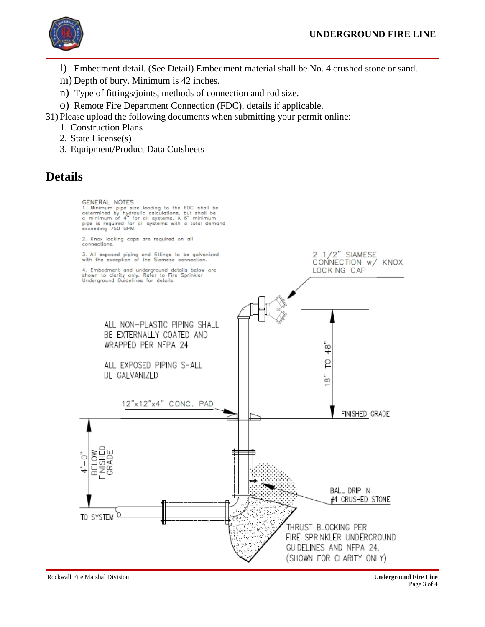

- l) Embedment detail. (See Detail) Embedment material shall be No. 4 crushed stone or sand.
- m) Depth of bury. Minimum is 42 inches.
- n) Type of fittings/joints, methods of connection and rod size.
- o) Remote Fire Department Connection (FDC), details if applicable.

31) Please upload the following documents when submitting your permit online:

- 1. Construction Plans
- 2. State License(s)
- 3. Equipment/Product Data Cutsheets

# **Details**



Rockwall Fire Marshal Division **Underground Fire Line**